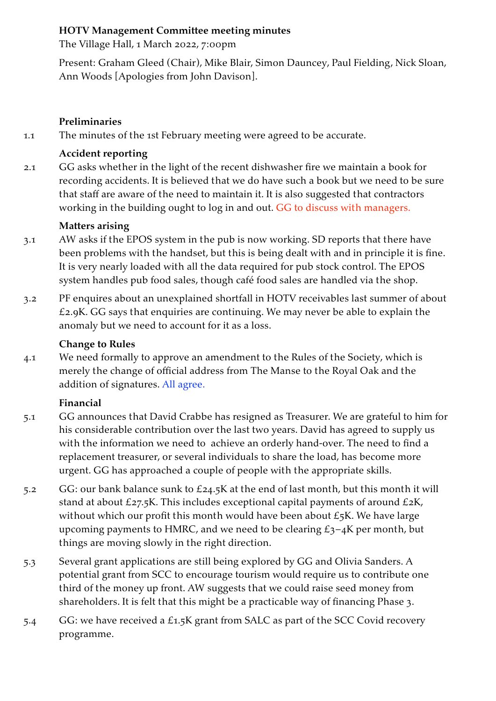#### **HOTV Management Committee meeting minutes**

The Village Hall, 1 March 2022, 7:00pm

Present: Graham Gleed (Chair), Mike Blair, Simon Dauncey, Paul Fielding, Nick Sloan, Ann Woods [Apologies from John Davison].

## **Preliminaries**

1.1 The minutes of the 1st February meeting were agreed to be accurate.

# **Accident reporting**

2.1 GG asks whether in the light of the recent dishwasher fire we maintain a book for recording accidents. It is believed that we do have such a book but we need to be sure that staff are aware of the need to maintain it. It is also suggested that contractors working in the building ought to log in and out. GG to discuss with managers.

# **Matters arising**

- 3.1 AW asks if the EPOS system in the pub is now working. SD reports that there have been problems with the handset, but this is being dealt with and in principle it is fine. It is very nearly loaded with all the data required for pub stock control. The EPOS system handles pub food sales, though café food sales are handled via the shop.
- 3.2 PF enquires about an unexplained shortfall in HOTV receivables last summer of about £2.9K. GG says that enquiries are continuing. We may never be able to explain the anomaly but we need to account for it as a loss.

## **Change to Rules**

4.1 We need formally to approve an amendment to the Rules of the Society, which is merely the change of official address from The Manse to the Royal Oak and the addition of signatures. All agree.

## **Financial**

- 5.1 GG announces that David Crabbe has resigned as Treasurer. We are grateful to him for his considerable contribution over the last two years. David has agreed to supply us with the information we need to achieve an orderly hand-over. The need to find a replacement treasurer, or several individuals to share the load, has become more urgent. GG has approached a couple of people with the appropriate skills.
- 5.2 GG: our bank balance sunk to £24.5K at the end of last month, but this month it will stand at about £27.5K. This includes exceptional capital payments of around £2K, without which our profit this month would have been about  $\pounds$ 5K. We have large upcoming payments to HMRC, and we need to be clearing  $\mathcal{L}_3$ -4K per month, but things are moving slowly in the right direction.
- 5.3 Several grant applications are still being explored by GG and Olivia Sanders. A potential grant from SCC to encourage tourism would require us to contribute one third of the money up front. AW suggests that we could raise seed money from shareholders. It is felt that this might be a practicable way of financing Phase 3.
- 5.4 GG: we have received a £1.5K grant from SALC as part of the SCC Covid recovery programme.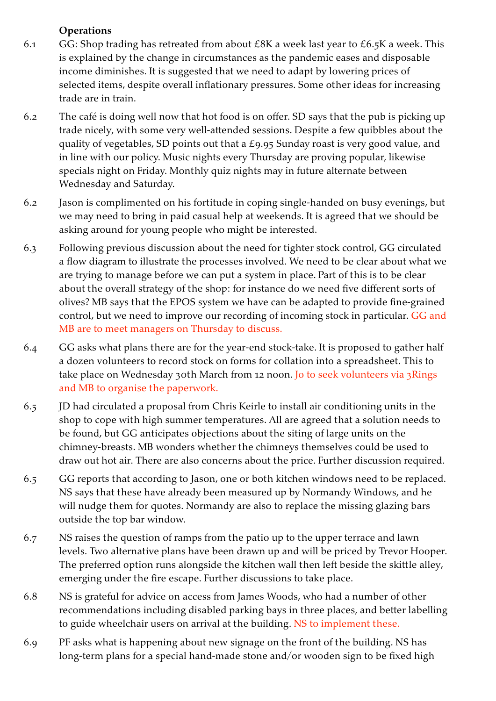# **Operations**

- 6.1 GG: Shop trading has retreated from about  $E8K$  a week last year to  $E6.5K$  a week. This is explained by the change in circumstances as the pandemic eases and disposable income diminishes. It is suggested that we need to adapt by lowering prices of selected items, despite overall inflationary pressures. Some other ideas for increasing trade are in train.
- 6.2 The café is doing well now that hot food is on offer. SD says that the pub is picking up trade nicely, with some very well-attended sessions. Despite a few quibbles about the quality of vegetables, SD points out that a £9.95 Sunday roast is very good value, and in line with our policy. Music nights every Thursday are proving popular, likewise specials night on Friday. Monthly quiz nights may in future alternate between Wednesday and Saturday.
- 6.2 Jason is complimented on his fortitude in coping single-handed on busy evenings, but we may need to bring in paid casual help at weekends. It is agreed that we should be asking around for young people who might be interested.
- 6.3 Following previous discussion about the need for tighter stock control, GG circulated a flow diagram to illustrate the processes involved. We need to be clear about what we are trying to manage before we can put a system in place. Part of this is to be clear about the overall strategy of the shop: for instance do we need five different sorts of olives? MB says that the EPOS system we have can be adapted to provide fine-grained control, but we need to improve our recording of incoming stock in particular. GG and MB are to meet managers on Thursday to discuss.
- 6.4 GG asks what plans there are for the year-end stock-take. It is proposed to gather half a dozen volunteers to record stock on forms for collation into a spreadsheet. This to take place on Wednesday 30th March from 12 noon. Jo to seek volunteers via 3Rings and MB to organise the paperwork.
- 6.5 JD had circulated a proposal from Chris Keirle to install air conditioning units in the shop to cope with high summer temperatures. All are agreed that a solution needs to be found, but GG anticipates objections about the siting of large units on the chimney-breasts. MB wonders whether the chimneys themselves could be used to draw out hot air. There are also concerns about the price. Further discussion required.
- 6.5 GG reports that according to Jason, one or both kitchen windows need to be replaced. NS says that these have already been measured up by Normandy Windows, and he will nudge them for quotes. Normandy are also to replace the missing glazing bars outside the top bar window.
- 6.7 NS raises the question of ramps from the patio up to the upper terrace and lawn levels. Two alternative plans have been drawn up and will be priced by Trevor Hooper. The preferred option runs alongside the kitchen wall then left beside the skittle alley, emerging under the fire escape. Further discussions to take place.
- 6.8 NS is grateful for advice on access from James Woods, who had a number of other recommendations including disabled parking bays in three places, and better labelling to guide wheelchair users on arrival at the building. NS to implement these.
- 6.9 PF asks what is happening about new signage on the front of the building. NS has long-term plans for a special hand-made stone and/or wooden sign to be fixed high